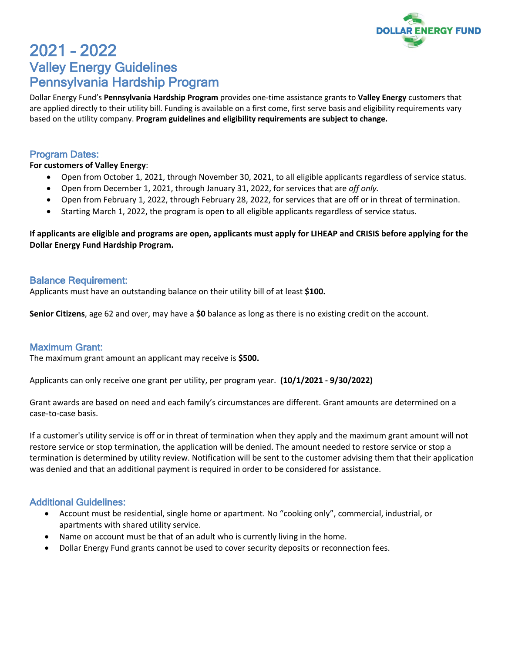

# 2021 – 2022 Valley Energy Guidelines Pennsylvania Hardship Program

Dollar Energy Fund's **Pennsylvania Hardship Program** provides one-time assistance grants to **Valley Energy** customers that are applied directly to their utility bill. Funding is available on a first come, first serve basis and eligibility requirements vary based on the utility company. **Program guidelines and eligibility requirements are subject to change.**

#### Program Dates:

#### **For customers of Valley Energy**:

- Open from October 1, 2021, through November 30, 2021, to all eligible applicants regardless of service status.
- Open from December 1, 2021, through January 31, 2022, for services that are *off only.*
- Open from February 1, 2022, through February 28, 2022, for services that are off or in threat of termination.
- Starting March 1, 2022, the program is open to all eligible applicants regardless of service status.

### **If applicants are eligible and programs are open, applicants must apply for LIHEAP and CRISIS before applying for the Dollar Energy Fund Hardship Program.**

#### Balance Requirement:

Applicants must have an outstanding balance on their utility bill of at least **\$100.**

**Senior Citizens**, age 62 and over, may have a **\$0** balance as long as there is no existing credit on the account.

## Maximum Grant:

The maximum grant amount an applicant may receive is **\$500.**

Applicants can only receive one grant per utility, per program year. **(10/1/2021 - 9/30/2022)**

Grant awards are based on need and each family's circumstances are different. Grant amounts are determined on a case-to-case basis.

If a customer's utility service is off or in threat of termination when they apply and the maximum grant amount will not restore service or stop termination, the application will be denied. The amount needed to restore service or stop a termination is determined by utility review. Notification will be sent to the customer advising them that their application was denied and that an additional payment is required in order to be considered for assistance.

#### Additional Guidelines:

- Account must be residential, single home or apartment. No "cooking only", commercial, industrial, or apartments with shared utility service.
- Name on account must be that of an adult who is currently living in the home.
- Dollar Energy Fund grants cannot be used to cover security deposits or reconnection fees.